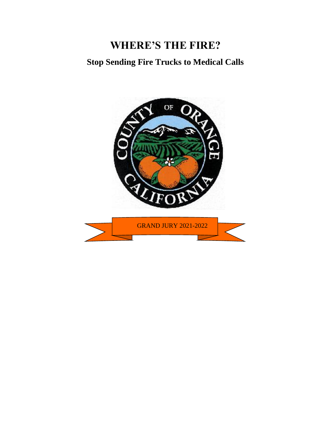# **Stop Sending Fire Trucks to Medical Calls**

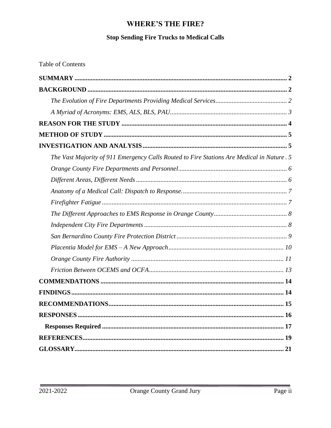## **Stop Sending Fire Trucks to Medical Calls**

**Table of Contents** 

| The Vast Majority of 911 Emergency Calls Routed to Fire Stations Are Medical in Nature . 5 |
|--------------------------------------------------------------------------------------------|
|                                                                                            |
|                                                                                            |
|                                                                                            |
|                                                                                            |
|                                                                                            |
|                                                                                            |
|                                                                                            |
|                                                                                            |
|                                                                                            |
|                                                                                            |
|                                                                                            |
|                                                                                            |
|                                                                                            |
|                                                                                            |
|                                                                                            |
|                                                                                            |
|                                                                                            |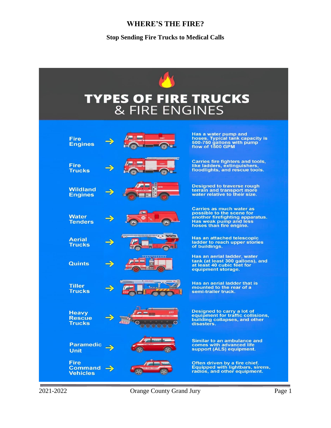**Stop Sending Fire Trucks to Medical Calls**

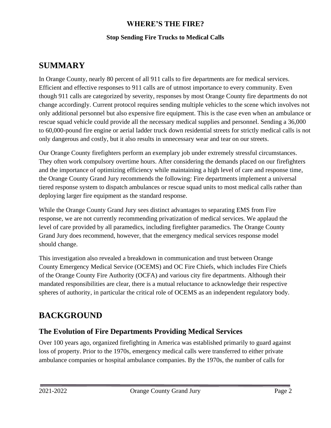#### **Stop Sending Fire Trucks to Medical Calls**

## <span id="page-3-0"></span>**SUMMARY**

In Orange County, nearly 80 percent of all 911 calls to fire departments are for medical services. Efficient and effective responses to 911 calls are of utmost importance to every community. Even though 911 calls are categorized by severity, responses by most Orange County fire departments do not change accordingly. Current protocol requires sending multiple vehicles to the scene which involves not only additional personnel but also expensive fire equipment. This is the case even when an ambulance or rescue squad vehicle could provide all the necessary medical supplies and personnel. Sending a 36,000 to 60,000-pound fire engine or aerial ladder truck down residential streets for strictly medical calls is not only dangerous and costly, but it also results in unnecessary wear and tear on our streets.

Our Orange County firefighters perform an exemplary job under extremely stressful circumstances. They often work compulsory overtime hours. After considering the demands placed on our firefighters and the importance of optimizing efficiency while maintaining a high level of care and response time, the Orange County Grand Jury recommends the following: Fire departments implement a universal tiered response system to dispatch ambulances or rescue squad units to most medical calls rather than deploying larger fire equipment as the standard response.

While the Orange County Grand Jury sees distinct advantages to separating EMS from Fire response, we are not currently recommending privatization of medical services. We applaud the level of care provided by all paramedics, including firefighter paramedics. The Orange County Grand Jury does recommend, however, that the emergency medical services response model should change.

This investigation also revealed a breakdown in communication and trust between Orange County Emergency Medical Service (OCEMS) and OC Fire Chiefs, which includes Fire Chiefs of the Orange County Fire Authority (OCFA) and various city fire departments. Although their mandated responsibilities are clear, there is a mutual reluctance to acknowledge their respective spheres of authority, in particular the critical role of OCEMS as an independent regulatory body.

## <span id="page-3-1"></span>**BACKGROUND**

## <span id="page-3-2"></span>**The Evolution of Fire Departments Providing Medical Services**

Over 100 years ago, organized firefighting in America was established primarily to guard against loss of property. Prior to the 1970s, emergency medical calls were transferred to either private ambulance companies or hospital ambulance companies. By the 1970s, the number of calls for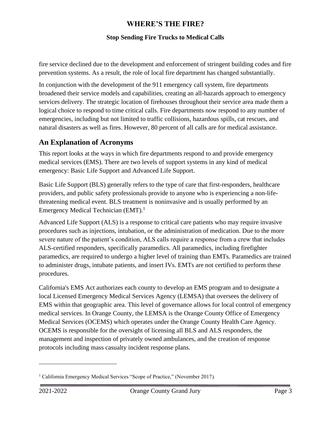#### **Stop Sending Fire Trucks to Medical Calls**

fire service declined due to the development and enforcement of stringent building codes and fire prevention systems. As a result, the role of local fire department has changed substantially.

In conjunction with the development of the 911 emergency call system, fire departments broadened their service models and capabilities, creating an all-hazards approach to emergency services delivery. The strategic location of firehouses throughout their service area made them a logical choice to respond to time critical calls. Fire departments now respond to any number of emergencies, including but not limited to traffic collisions, hazardous spills, cat rescues, and natural disasters as well as fires. However, 80 percent of all calls are for medical assistance.

## <span id="page-4-0"></span>**An Explanation of Acronyms**

This report looks at the ways in which fire departments respond to and provide emergency medical services (EMS). There are two levels of support systems in any kind of medical emergency: Basic Life Support and Advanced Life Support.

Basic Life Support (BLS) generally refers to the type of care that first-responders, healthcare providers, and public safety professionals provide to anyone who is experiencing a non-lifethreatening medical event. BLS treatment is noninvasive and is usually performed by an Emergency Medical Technician  $(EMT)$ <sup>1</sup>

Advanced Life Support (ALS) is a response to critical care patients who may require invasive procedures such as injections, intubation, or the administration of medication. Due to the more severe nature of the patient's condition, ALS calls require a response from a crew that includes ALS-certified responders, specifically paramedics. All paramedics, including firefighter paramedics, are required to undergo a higher level of training than EMTs. Paramedics are trained to administer drugs, intubate patients, and insert IVs. EMTs are not certified to perform these procedures.

California's EMS Act authorizes each county to develop an EMS program and to designate a local Licensed Emergency Medical Services Agency (LEMSA) that oversees the delivery of EMS within that geographic area. This level of governance allows for local control of emergency medical services. In Orange County, the LEMSA is the Orange County Office of Emergency Medical Services (OCEMS) which operates under the Orange County Health Care Agency. OCEMS is responsible for the oversight of licensing all BLS and ALS responders, the management and inspection of privately owned ambulances, and the creation of response protocols including mass casualty incident response plans.

<sup>&</sup>lt;sup>1</sup> California Emergency Medical Services "Scope of Practice," (November 2017).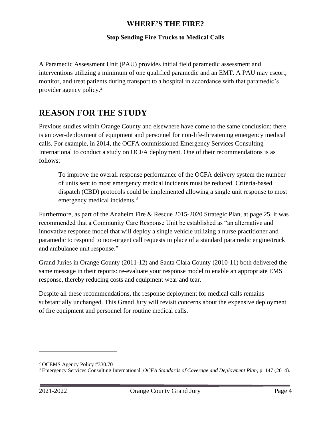#### **Stop Sending Fire Trucks to Medical Calls**

A Paramedic Assessment Unit (PAU) provides initial field paramedic assessment and interventions utilizing a minimum of one qualified paramedic and an EMT. A PAU may escort, monitor, and treat patients during transport to a hospital in accordance with that paramedic's provider agency policy.<sup>2</sup>

## <span id="page-5-0"></span>**REASON FOR THE STUDY**

Previous studies within Orange County and elsewhere have come to the same conclusion: there is an over-deployment of equipment and personnel for non-life-threatening emergency medical calls. For example, in 2014, the OCFA commissioned Emergency Services Consulting International to conduct a study on OCFA deployment. One of their recommendations is as follows:

To improve the overall response performance of the OCFA delivery system the number of units sent to most emergency medical incidents must be reduced. Criteria-based dispatch (CBD) protocols could be implemented allowing a single unit response to most emergency medical incidents.<sup>3</sup>

Furthermore, as part of the Anaheim Fire & Rescue 2015-2020 Strategic Plan, at page 25, it was recommended that a Community Care Response Unit be established as "an alternative and innovative response model that will deploy a single vehicle utilizing a nurse practitioner and paramedic to respond to non-urgent call requests in place of a standard paramedic engine/truck and ambulance unit response."

Grand Juries in Orange County (2011-12) and Santa Clara County (2010-11) both delivered the same message in their reports: re-evaluate your response model to enable an appropriate EMS response, thereby reducing costs and equipment wear and tear.

Despite all these recommendations, the response deployment for medical calls remains substantially unchanged. This Grand Jury will revisit concerns about the expensive deployment of fire equipment and personnel for routine medical calls.

<sup>2</sup> OCEMS Agency Policy #330.70

<sup>3</sup> Emergency Services Consulting International, *OCFA Standards of Coverage and Deployment Plan,* p. 147 (2014).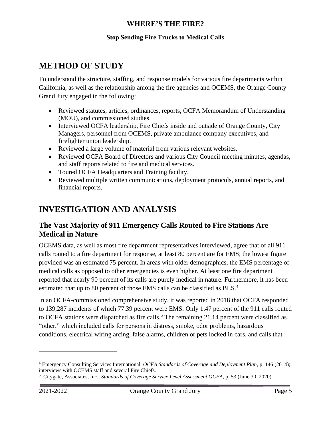#### **Stop Sending Fire Trucks to Medical Calls**

## <span id="page-6-0"></span>**METHOD OF STUDY**

To understand the structure, staffing, and response models for various fire departments within California, as well as the relationship among the fire agencies and OCEMS, the Orange County Grand Jury engaged in the following:

- Reviewed statutes, articles, ordinances, reports, OCFA Memorandum of Understanding (MOU), and commissioned studies.
- Interviewed OCFA leadership, Fire Chiefs inside and outside of Orange County, City Managers, personnel from OCEMS, private ambulance company executives, and firefighter union leadership.
- Reviewed a large volume of material from various relevant websites.
- Reviewed OCFA Board of Directors and various City Council meeting minutes, agendas, and staff reports related to fire and medical services.
- Toured OCFA Headquarters and Training facility.
- Reviewed multiple written communications, deployment protocols, annual reports, and financial reports.

## <span id="page-6-1"></span>**INVESTIGATION AND ANALYSIS**

## <span id="page-6-2"></span>**The Vast Majority of 911 Emergency Calls Routed to Fire Stations Are Medical in Nature**

OCEMS data, as well as most fire department representatives interviewed, agree that of all 911 calls routed to a fire department for response, at least 80 percent are for EMS; the lowest figure provided was an estimated 75 percent. In areas with older demographics, the EMS percentage of medical calls as opposed to other emergencies is even higher. At least one fire department reported that nearly 90 percent of its calls are purely medical in nature. Furthermore, it has been estimated that up to 80 percent of those EMS calls can be classified as BLS.<sup>4</sup>

In an OCFA-commissioned comprehensive study, it was reported in 2018 that OCFA responded to 139,287 incidents of which 77.39 percent were EMS. Only 1.47 percent of the 911 calls routed to OCFA stations were dispatched as fire calls.<sup>5</sup> The remaining 21.14 percent were classified as "other," which included calls for persons in distress, smoke, odor problems, hazardous conditions, electrical wiring arcing, false alarms, children or pets locked in cars, and calls that

<sup>4</sup> Emergency Consulting Services International, *OCFA Standards of Coverage and Deployment Plan,* p. 146 (2014); interviews with OCEMS staff and several Fire Chiefs.

<sup>5</sup> Citygate, Associates, Inc., *Standards of Coverage Service Level Assessment OCFA,* p. 53 (June 30, 2020).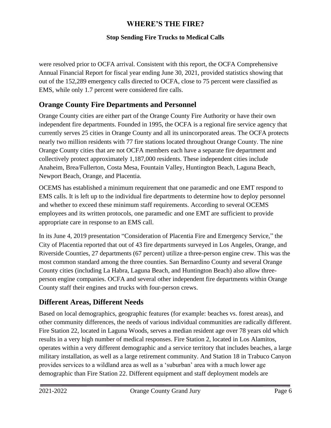#### **Stop Sending Fire Trucks to Medical Calls**

were resolved prior to OCFA arrival. Consistent with this report, the OCFA Comprehensive Annual Financial Report for fiscal year ending June 30, 2021, provided statistics showing that out of the 152,289 emergency calls directed to OCFA, close to 75 percent were classified as EMS, while only 1.7 percent were considered fire calls.

## <span id="page-7-0"></span>**Orange County Fire Departments and Personnel**

Orange County cities are either part of the Orange County Fire Authority or have their own independent fire departments. Founded in 1995, the OCFA is a regional fire service agency that currently serves 25 cities in Orange County and all its unincorporated areas. The OCFA protects nearly two million residents with 77 fire stations located throughout Orange County. The nine Orange County cities that are not OCFA members each have a separate fire department and collectively protect approximately 1,187,000 residents. These independent cities include Anaheim, Brea/Fullerton, Costa Mesa, Fountain Valley, Huntington Beach, Laguna Beach, Newport Beach, Orange, and Placentia.

OCEMS has established a minimum requirement that one paramedic and one EMT respond to EMS calls. It is left up to the individual fire departments to determine how to deploy personnel and whether to exceed these minimum staff requirements. According to several OCEMS employees and its written protocols, one paramedic and one EMT are sufficient to provide appropriate care in response to an EMS call.

In its June 4, 2019 presentation "Consideration of Placentia Fire and Emergency Service," the City of Placentia reported that out of 43 fire departments surveyed in Los Angeles, Orange, and Riverside Counties, 27 departments (67 percent) utilize a three-person engine crew. This was the most common standard among the three counties. San Bernardino County and several Orange County cities (including La Habra, Laguna Beach, and Huntington Beach) also allow threeperson engine companies. OCFA and several other independent fire departments within Orange County staff their engines and trucks with four-person crews.

## <span id="page-7-1"></span>**Different Areas, Different Needs**

Based on local demographics, geographic features (for example: beaches vs. forest areas), and other community differences, the needs of various individual communities are radically different. Fire Station 22, located in Laguna Woods, serves a median resident age over 78 years old which results in a very high number of medical responses. Fire Station 2, located in Los Alamitos, operates within a very different demographic and a service territory that includes beaches, a large military installation, as well as a large retirement community. And Station 18 in Trabuco Canyon provides services to a wildland area as well as a 'suburban' area with a much lower age demographic than Fire Station 22. Different equipment and staff deployment models are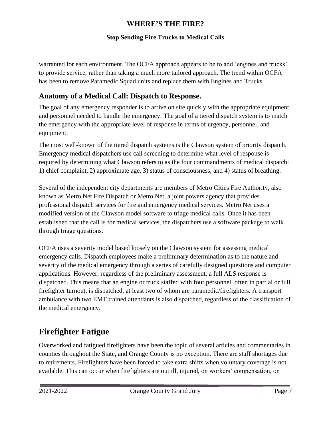#### **Stop Sending Fire Trucks to Medical Calls**

warranted for each environment. The OCFA approach appears to be to add 'engines and trucks' to provide service, rather than taking a much more tailored approach. The trend within OCFA has been to remove Paramedic Squad units and replace them with Engines and Trucks.

## <span id="page-8-0"></span>**Anatomy of a Medical Call: Dispatch to Response.**

The goal of any emergency responder is to arrive on site quickly with the appropriate equipment and personnel needed to handle the emergency. The goal of a tiered dispatch system is to match the emergency with the appropriate level of response in terms of urgency, personnel, and equipment.

The most well-known of the tiered dispatch systems is the Clawson system of priority dispatch. Emergency medical dispatchers use call screening to determine what level of response is required by determining what Clawson refers to as the four commandments of medical dispatch: 1) chief complaint, 2) approximate age, 3) status of consciousness, and 4) status of breathing.

Several of the independent city departments are members of Metro Cities Fire Authority, also known as Metro Net Fire Dispatch or Metro Net, a joint powers agency that provides professional dispatch services for fire and emergency medical services. Metro Net uses a modified version of the Clawson model software to triage medical calls. Once it has been established that the call is for medical services, the dispatchers use a software package to walk through triage questions.

OCFA uses a severity model based loosely on the Clawson system for assessing medical emergency calls. Dispatch employees make a preliminary determination as to the nature and severity of the medical emergency through a series of carefully designed questions and computer applications. However, regardless of the preliminary assessment, a full ALS response is dispatched. This means that an engine or truck staffed with four personnel, often in partial or full firefighter turnout, is dispatched, at least two of whom are paramedic/firefighters. A transport ambulance with two EMT trained attendants is also dispatched, regardless of the classification of the medical emergency.

## <span id="page-8-1"></span>**Firefighter Fatigue**

Overworked and fatigued firefighters have been the topic of several articles and commentaries in counties throughout the State, and Orange County is no exception. There are staff shortages due to retirements. Firefighters have been forced to take extra shifts when voluntary coverage is not available. This can occur when firefighters are out ill, injured, on workers' compensation, or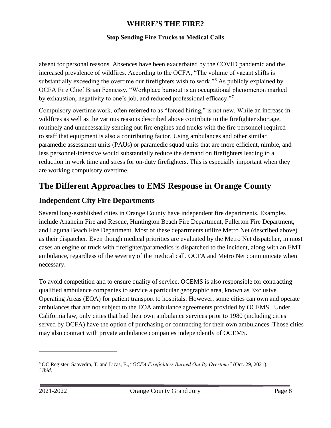#### **Stop Sending Fire Trucks to Medical Calls**

absent for personal reasons. Absences have been exacerbated by the COVID pandemic and the increased prevalence of wildfires. According to the OCFA, "The volume of vacant shifts is substantially exceeding the overtime our firefighters wish to work."<sup>6</sup> As publicly explained by OCFA Fire Chief Brian Fennessy, "Workplace burnout is an occupational phenomenon marked by exhaustion, negativity to one's job, and reduced professional efficacy."<sup>7</sup>

Compulsory overtime work, often referred to as "forced hiring," is not new. While an increase in wildfires as well as the various reasons described above contribute to the firefighter shortage, routinely and unnecessarily sending out fire engines and trucks with the fire personnel required to staff that equipment is also a contributing factor. Using ambulances and other similar paramedic assessment units (PAUs) or paramedic squad units that are more efficient, nimble, and less personnel-intensive would substantially reduce the demand on firefighters leading to a reduction in work time and stress for on-duty firefighters. This is especially important when they are working compulsory overtime.

## <span id="page-9-0"></span>**The Different Approaches to EMS Response in Orange County**

### <span id="page-9-1"></span>**Independent City Fire Departments**

Several long-established cities in Orange County have independent fire departments. Examples include Anaheim Fire and Rescue, Huntington Beach Fire Department, Fullerton Fire Department, and Laguna Beach Fire Department. Most of these departments utilize Metro Net (described above) as their dispatcher. Even though medical priorities are evaluated by the Metro Net dispatcher, in most cases an engine or truck with firefighter/paramedics is dispatched to the incident, along with an EMT ambulance, regardless of the severity of the medical call. OCFA and Metro Net communicate when necessary.

To avoid competition and to ensure quality of service, OCEMS is also responsible for contracting qualified ambulance companies to service a particular geographic area, known as Exclusive Operating Areas (EOA) for patient transport to hospitals. However, some cities can own and operate ambulances that are not subject to the EOA ambulance agreements provided by OCEMS. Under California law, only cities that had their own ambulance services prior to 1980 (including cities served by OCFA) have the option of purchasing or contracting for their own ambulances. Those cities may also contract with private ambulance companies independently of OCEMS.

<sup>6</sup> OC Register, Saavedra, T. and Licas, E.,*"OCFA Firefighters Burned Out By Overtime"* (Oct. 29, 2021). 7 *Ibid*.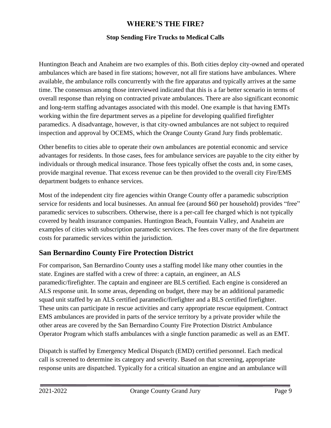#### **Stop Sending Fire Trucks to Medical Calls**

Huntington Beach and Anaheim are two examples of this. Both cities deploy city-owned and operated ambulances which are based in fire stations; however, not all fire stations have ambulances. Where available, the ambulance rolls concurrently with the fire apparatus and typically arrives at the same time. The consensus among those interviewed indicated that this is a far better scenario in terms of overall response than relying on contracted private ambulances. There are also significant economic and long-term staffing advantages associated with this model. One example is that having EMTs working within the fire department serves as a pipeline for developing qualified firefighter paramedics. A disadvantage, however, is that city-owned ambulances are not subject to required inspection and approval by OCEMS, which the Orange County Grand Jury finds problematic.

Other benefits to cities able to operate their own ambulances are potential economic and service advantages for residents. In those cases, fees for ambulance services are payable to the city either by individuals or through medical insurance. Those fees typically offset the costs and, in some cases, provide marginal revenue. That excess revenue can be then provided to the overall city Fire/EMS department budgets to enhance services.

Most of the independent city fire agencies within Orange County offer a paramedic subscription service for residents and local businesses. An annual fee (around \$60 per household) provides "free" paramedic services to subscribers. Otherwise, there is a per-call fee charged which is not typically covered by health insurance companies. Huntington Beach, Fountain Valley, and Anaheim are examples of cities with subscription paramedic services. The fees cover many of the fire department costs for paramedic services within the jurisdiction.

## <span id="page-10-0"></span>**San Bernardino County Fire Protection District**

For comparison, San Bernardino County uses a staffing model like many other counties in the state. Engines are staffed with a crew of three: a captain, an engineer, an ALS paramedic/firefighter. The captain and engineer are BLS certified. Each engine is considered an ALS response unit. In some areas, depending on budget, there may be an additional paramedic squad unit staffed by an ALS certified paramedic/firefighter and a BLS certified firefighter. These units can participate in rescue activities and carry appropriate rescue equipment. Contract EMS ambulances are provided in parts of the service territory by a private provider while the other areas are covered by the San Bernardino County Fire Protection District Ambulance Operator Program which staffs ambulances with a single function paramedic as well as an EMT.

Dispatch is staffed by Emergency Medical Dispatch (EMD) certified personnel. Each medical call is screened to determine its category and severity. Based on that screening, appropriate response units are dispatched. Typically for a critical situation an engine and an ambulance will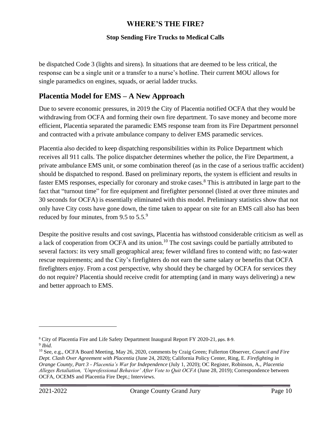#### **Stop Sending Fire Trucks to Medical Calls**

be dispatched Code 3 (lights and sirens). In situations that are deemed to be less critical, the response can be a single unit or a transfer to a nurse's hotline. Their current MOU allows for single paramedics on engines, squads, or aerial ladder trucks.

## <span id="page-11-0"></span>**Placentia Model for EMS – A New Approach**

Due to severe economic pressures, in 2019 the City of Placentia notified OCFA that they would be withdrawing from OCFA and forming their own fire department. To save money and become more efficient, Placentia separated the paramedic EMS response team from its Fire Department personnel and contracted with a private ambulance company to deliver EMS paramedic services.

Placentia also decided to keep dispatching responsibilities within its Police Department which receives all 911 calls. The police dispatcher determines whether the police, the Fire Department, a private ambulance EMS unit, or some combination thereof (as in the case of a serious traffic accident) should be dispatched to respond. Based on preliminary reports, the system is efficient and results in faster EMS responses, especially for coronary and stroke cases. <sup>8</sup> This is attributed in large part to the fact that "turnout time" for fire equipment and firefighter personnel (listed at over three minutes and 30 seconds for OCFA) is essentially eliminated with this model. Preliminary statistics show that not only have City costs have gone down, the time taken to appear on site for an EMS call also has been reduced by four minutes, from 9.5 to  $5.5<sup>9</sup>$ 

Despite the positive results and cost savings, Placentia has withstood considerable criticism as well as a lack of cooperation from OCFA and its union.<sup>10</sup> The cost savings could be partially attributed to several factors: its very small geographical area; fewer wildland fires to contend with; no fast-water rescue requirements; and the City's firefighters do not earn the same salary or benefits that OCFA firefighters enjoy. From a cost perspective, why should they be charged by OCFA for services they do not require? Placentia should receive credit for attempting (and in many ways delivering) a new and better approach to EMS.

<sup>8</sup> City of Placentia Fire and Life Safety Department Inaugural Report FY 2020-21, pps. 8-9. 9 *Ibid.*

<sup>10</sup> See, e.g., OCFA Board Meeting, May 26, 2020, comments by Craig Green; Fullerton Observer, *Council and Fire Dept. Clash Over Agreement with Placentia* (June 24, 2020); California Policy Center, Ring, E. *Firefighting in Orange County, Part 3 - Placentia's War for Independence* (July 1, 2020); OC Register, Robinson, A., *Placentia Alleges Retaliation, 'Unprofessional Behavior' After Vote to Quit OCFA* (June 28, 2019); Correspondence between OCFA, OCEMS and Placentia Fire Dept.; Interviews.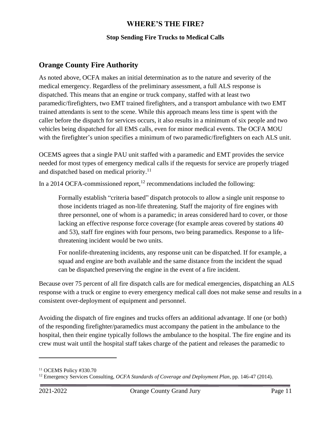#### **Stop Sending Fire Trucks to Medical Calls**

## <span id="page-12-0"></span>**Orange County Fire Authority**

As noted above, OCFA makes an initial determination as to the nature and severity of the medical emergency. Regardless of the preliminary assessment, a full ALS response is dispatched. This means that an engine or truck company, staffed with at least two paramedic/firefighters, two EMT trained firefighters, and a transport ambulance with two EMT trained attendants is sent to the scene. While this approach means less time is spent with the caller before the dispatch for services occurs, it also results in a minimum of six people and two vehicles being dispatched for all EMS calls, even for minor medical events. The OCFA MOU with the firefighter's union specifies a minimum of two paramedic/firefighters on each ALS unit.

OCEMS agrees that a single PAU unit staffed with a paramedic and EMT provides the service needed for most types of emergency medical calls if the requests for service are properly triaged and dispatched based on medical priority.<sup>11</sup>

In a 2014 OCFA-commissioned report,<sup>12</sup> recommendations included the following:

Formally establish "criteria based" dispatch protocols to allow a single unit response to those incidents triaged as non-life threatening. Staff the majority of fire engines with three personnel, one of whom is a paramedic; in areas considered hard to cover, or those lacking an effective response force coverage (for example areas covered by stations 40 and 53), staff fire engines with four persons, two being paramedics. Response to a lifethreatening incident would be two units.

For nonlife-threatening incidents, any response unit can be dispatched. If for example, a squad and engine are both available and the same distance from the incident the squad can be dispatched preserving the engine in the event of a fire incident.

Because over 75 percent of all fire dispatch calls are for medical emergencies, dispatching an ALS response with a truck or engine to every emergency medical call does not make sense and results in a consistent over-deployment of equipment and personnel.

Avoiding the dispatch of fire engines and trucks offers an additional advantage. If one (or both) of the responding firefighter/paramedics must accompany the patient in the ambulance to the hospital, then their engine typically follows the ambulance to the hospital. The fire engine and its crew must wait until the hospital staff takes charge of the patient and releases the paramedic to

<sup>11</sup> OCEMS Policy #330.70

<sup>12</sup> Emergency Services Consulting, *OCFA Standards of Coverage and Deployment Plan*, pp. 146-47 (2014).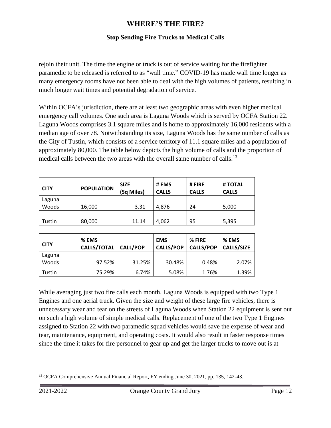#### **Stop Sending Fire Trucks to Medical Calls**

rejoin their unit. The time the engine or truck is out of service waiting for the firefighter paramedic to be released is referred to as "wall time." COVID-19 has made wall time longer as many emergency rooms have not been able to deal with the high volumes of patients, resulting in much longer wait times and potential degradation of service.

Within OCFA's jurisdiction, there are at least two geographic areas with even higher medical emergency call volumes. One such area is Laguna Woods which is served by OCFA Station 22. Laguna Woods comprises 3.1 square miles and is home to approximately 16,000 residents with a median age of over 78. Notwithstanding its size, Laguna Woods has the same number of calls as the City of Tustin, which consists of a service territory of 11.1 square miles and a population of approximately 80,000. The table below depicts the high volume of calls and the proportion of medical calls between the two areas with the overall same number of calls.<sup>13</sup>

| <b>CITY</b> | <b>POPULATION</b> | <b>SIZE</b><br>(Sq Miles) | # EMS<br><b>CALLS</b> | # FIRE<br><b>CALLS</b> | # TOTAL<br><b>CALLS</b> |
|-------------|-------------------|---------------------------|-----------------------|------------------------|-------------------------|
| Laguna      |                   |                           |                       |                        |                         |
| Woods       | 16,000            | 3.31                      | 4,876                 | 24                     | 5,000                   |
|             |                   |                           |                       |                        |                         |
| Tustin      | 80,000            | 11.14                     | 4,062                 | 95                     | 5,395                   |

| <b>CITY</b> | % EMS<br><b>CALLS/TOTAL</b> | <b>CALL/POP</b> | <b>EMS</b><br><b>CALLS/POP</b> | % FIRE<br><b>CALLS/POP</b> | % EMS<br><b>CALLS/SIZE</b> |
|-------------|-----------------------------|-----------------|--------------------------------|----------------------------|----------------------------|
| Laguna      |                             |                 |                                |                            |                            |
| Woods       | 97.52%                      | 31.25%          | 30.48%                         | 0.48%                      | 2.07%                      |
| Tustin      | 75.29%                      | 6.74%           | 5.08%                          | 1.76%                      | 1.39%                      |

While averaging just two fire calls each month, Laguna Woods is equipped with two Type 1 Engines and one aerial truck. Given the size and weight of these large fire vehicles, there is unnecessary wear and tear on the streets of Laguna Woods when Station 22 equipment is sent out on such a high volume of simple medical calls. Replacement of one of the two Type 1 Engines assigned to Station 22 with two paramedic squad vehicles would save the expense of wear and tear, maintenance, equipment, and operating costs. It would also result in faster response times since the time it takes for fire personnel to gear up and get the larger trucks to move out is at

<sup>13</sup> OCFA Comprehensive Annual Financial Report, FY ending June 30, 2021, pp. 135, 142-43.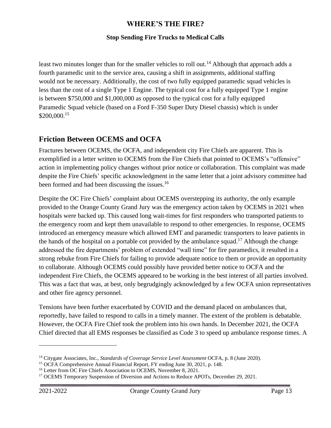#### **Stop Sending Fire Trucks to Medical Calls**

least two minutes longer than for the smaller vehicles to roll out.<sup>14</sup> Although that approach adds a fourth paramedic unit to the service area, causing a shift in assignments, additional staffing would not be necessary. Additionally, the cost of two fully equipped paramedic squad vehicles is less than the cost of a single Type 1 Engine. The typical cost for a fully equipped Type 1 engine is between \$750,000 and \$1,000,000 as opposed to the typical cost for a fully equipped Paramedic Squad vehicle (based on a Ford F-350 Super Duty Diesel chassis) which is under \$200,000.<sup>15</sup>

### <span id="page-14-0"></span>**Friction Between OCEMS and OCFA**

Fractures between OCEMS, the OCFA, and independent city Fire Chiefs are apparent. This is exemplified in a letter written to OCEMS from the Fire Chiefs that pointed to OCEMS's "offensive" action in implementing policy changes without prior notice or collaboration. This complaint was made despite the Fire Chiefs' specific acknowledgment in the same letter that a joint advisory committee had been formed and had been discussing the issues.<sup>16</sup>

Despite the OC Fire Chiefs' complaint about OCEMS overstepping its authority, the only example provided to the Orange County Grand Jury was the emergency action taken by OCEMS in 2021 when hospitals were backed up. This caused long wait-times for first responders who transported patients to the emergency room and kept them unavailable to respond to other emergencies. In response, OCEMS introduced an emergency measure which allowed EMT and paramedic transporters to leave patients in the hands of the hospital on a portable cot provided by the ambulance squad.<sup>17</sup> Although the change addressed the fire departments' problem of extended "wall time" for fire paramedics, it resulted in a strong rebuke from Fire Chiefs for failing to provide adequate notice to them or provide an opportunity to collaborate. Although OCEMS could possibly have provided better notice to OCFA and the independent Fire Chiefs, the OCEMS appeared to be working in the best interest of all parties involved. This was a fact that was, at best, only begrudgingly acknowledged by a few OCFA union representatives and other fire agency personnel.

Tensions have been further exacerbated by COVID and the demand placed on ambulances that, reportedly, have failed to respond to calls in a timely manner. The extent of the problem is debatable. However, the OCFA Fire Chief took the problem into his own hands. In December 2021, the OCFA Chief directed that all EMS responses be classified as Code 3 to speed up ambulance response times. A

<sup>14</sup> Citygate Associates, Inc., *Standards of Coverage Service Level Assessment* OCFA, p. 8 (June 2020).

<sup>&</sup>lt;sup>15</sup> OCFA Comprehensive Annual Financial Report, FY ending June 30, 2021, p. 148.

<sup>&</sup>lt;sup>16</sup> Letter from OC Fire Chiefs Association to OCEMS, November 8, 2021.

<sup>&</sup>lt;sup>17</sup> OCEMS Temporary Suspension of Diversion and Actions to Reduce APOTs, December 29, 2021.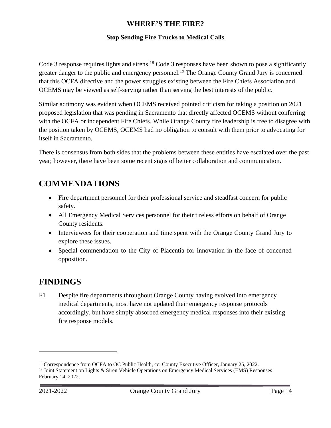#### **Stop Sending Fire Trucks to Medical Calls**

Code 3 response requires lights and sirens.<sup>18</sup> Code 3 responses have been shown to pose a significantly greater danger to the public and emergency personnel.<sup>19</sup> The Orange County Grand Jury is concerned that this OCFA directive and the power struggles existing between the Fire Chiefs Association and OCEMS may be viewed as self-serving rather than serving the best interests of the public.

Similar acrimony was evident when OCEMS received pointed criticism for taking a position on 2021 proposed legislation that was pending in Sacramento that directly affected OCEMS without conferring with the OCFA or independent Fire Chiefs. While Orange County fire leadership is free to disagree with the position taken by OCEMS, OCEMS had no obligation to consult with them prior to advocating for itself in Sacramento.

There is consensus from both sides that the problems between these entities have escalated over the past year; however, there have been some recent signs of better collaboration and communication.

## <span id="page-15-0"></span>**COMMENDATIONS**

- Fire department personnel for their professional service and steadfast concern for public safety.
- All Emergency Medical Services personnel for their tireless efforts on behalf of Orange County residents.
- Interviewees for their cooperation and time spent with the Orange County Grand Jury to explore these issues.
- Special commendation to the City of Placentia for innovation in the face of concerted opposition.

## <span id="page-15-1"></span>**FINDINGS**

F1 Despite fire departments throughout Orange County having evolved into emergency medical departments, most have not updated their emergency response protocols accordingly, but have simply absorbed emergency medical responses into their existing fire response models.

<sup>&</sup>lt;sup>18</sup> Correspondence from OCFA to OC Public Health, cc: County Executive Officer, January 25, 2022.

<sup>&</sup>lt;sup>19</sup> Joint Statement on Lights & Siren Vehicle Operations on Emergency Medical Services (EMS) Responses February 14, 2022.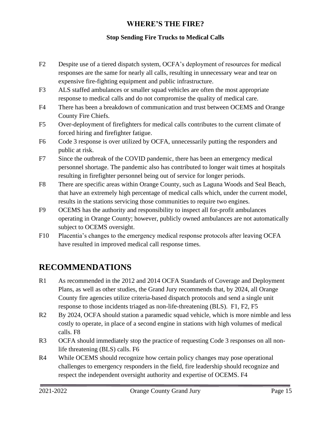#### **Stop Sending Fire Trucks to Medical Calls**

- F2 Despite use of a tiered dispatch system, OCFA's deployment of resources for medical responses are the same for nearly all calls, resulting in unnecessary wear and tear on expensive fire-fighting equipment and public infrastructure.
- F3 ALS staffed ambulances or smaller squad vehicles are often the most appropriate response to medical calls and do not compromise the quality of medical care.
- F4 There has been a breakdown of communication and trust between OCEMS and Orange County Fire Chiefs.
- F5 Over-deployment of firefighters for medical calls contributes to the current climate of forced hiring and firefighter fatigue.
- F6 Code 3 response is over utilized by OCFA, unnecessarily putting the responders and public at risk.
- F7 Since the outbreak of the COVID pandemic, there has been an emergency medical personnel shortage. The pandemic also has contributed to longer wait times at hospitals resulting in firefighter personnel being out of service for longer periods.
- F8 There are specific areas within Orange County, such as Laguna Woods and Seal Beach, that have an extremely high percentage of medical calls which, under the current model, results in the stations servicing those communities to require two engines.
- F9 OCEMS has the authority and responsibility to inspect all for-profit ambulances operating in Orange County; however, publicly owned ambulances are not automatically subject to OCEMS oversight.
- F10 Placentia's changes to the emergency medical response protocols after leaving OCFA have resulted in improved medical call response times.

## <span id="page-16-0"></span>**RECOMMENDATIONS**

- R1 As recommended in the 2012 and 2014 OCFA Standards of Coverage and Deployment Plans, as well as other studies, the Grand Jury recommends that, by 2024, all Orange County fire agencies utilize criteria-based dispatch protocols and send a single unit response to those incidents triaged as non-life-threatening (BLS). F1, F2, F5
- R2 By 2024, OCFA should station a paramedic squad vehicle, which is more nimble and less costly to operate, in place of a second engine in stations with high volumes of medical calls. F8
- R3 OCFA should immediately stop the practice of requesting Code 3 responses on all nonlife threatening (BLS) calls. F6
- R4 While OCEMS should recognize how certain policy changes may pose operational challenges to emergency responders in the field, fire leadership should recognize and respect the independent oversight authority and expertise of OCEMS. F4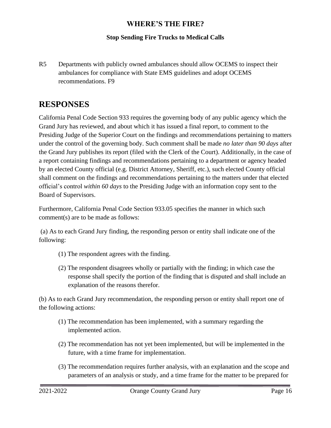#### **Stop Sending Fire Trucks to Medical Calls**

R5 Departments with publicly owned ambulances should allow OCEMS to inspect their ambulances for compliance with State EMS guidelines and adopt OCEMS recommendations. F9

## <span id="page-17-0"></span>**RESPONSES**

California Penal Code Section 933 requires the governing body of any public agency which the Grand Jury has reviewed, and about which it has issued a final report, to comment to the Presiding Judge of the Superior Court on the findings and recommendations pertaining to matters under the control of the governing body. Such comment shall be made *no later than 90 days* after the Grand Jury publishes its report (filed with the Clerk of the Court). Additionally, in the case of a report containing findings and recommendations pertaining to a department or agency headed by an elected County official (e.g. District Attorney, Sheriff, etc.), such elected County official shall comment on the findings and recommendations pertaining to the matters under that elected official's control *within 60 days* to the Presiding Judge with an information copy sent to the Board of Supervisors.

Furthermore, California Penal Code Section 933.05 specifies the manner in which such comment(s) are to be made as follows:

(a) As to each Grand Jury finding, the responding person or entity shall indicate one of the following:

- (1) The respondent agrees with the finding.
- (2) The respondent disagrees wholly or partially with the finding; in which case the response shall specify the portion of the finding that is disputed and shall include an explanation of the reasons therefor.

(b) As to each Grand Jury recommendation, the responding person or entity shall report one of the following actions:

- (1) The recommendation has been implemented, with a summary regarding the implemented action.
- (2) The recommendation has not yet been implemented, but will be implemented in the future, with a time frame for implementation.
- (3) The recommendation requires further analysis, with an explanation and the scope and parameters of an analysis or study, and a time frame for the matter to be prepared for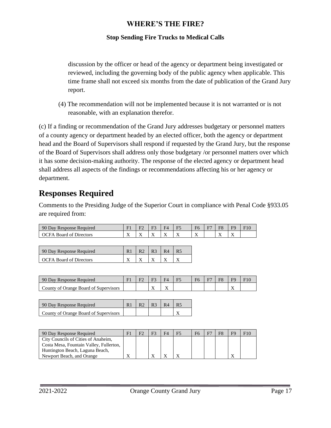#### **Stop Sending Fire Trucks to Medical Calls**

discussion by the officer or head of the agency or department being investigated or reviewed, including the governing body of the public agency when applicable. This time frame shall not exceed six months from the date of publication of the Grand Jury report.

(4) The recommendation will not be implemented because it is not warranted or is not reasonable, with an explanation therefor.

(c) If a finding or recommendation of the Grand Jury addresses budgetary or personnel matters of a county agency or department headed by an elected officer, both the agency or department head and the Board of Supervisors shall respond if requested by the Grand Jury, but the response of the Board of Supervisors shall address only those budgetary /or personnel matters over which it has some decision-making authority. The response of the elected agency or department head shall address all aspects of the findings or recommendations affecting his or her agency or department.

## <span id="page-18-0"></span>**Responses Required**

Comments to the Presiding Judge of the Superior Court in compliance with Penal Code §933.05 are required from:

| 90 Day Response<br>Required        | $\Gamma$ <sup>1</sup>     |                          | --                       | HД  | E5<br>. . | F <sub>6</sub>           | <b>TD</b> | $\Gamma C$                | EС                               |  |
|------------------------------------|---------------------------|--------------------------|--------------------------|-----|-----------|--------------------------|-----------|---------------------------|----------------------------------|--|
| - Board of L<br>Directors<br>IC FA | $\mathbf{r}$<br>$\lambda$ | $\overline{\phantom{a}}$ | $\overline{\phantom{a}}$ | . . | $\lambda$ | $\overline{\phantom{a}}$ |           | $\mathbf{r}$<br>$\lambda$ | $ -$<br>$\overline{\phantom{a}}$ |  |

| 90 Day Response Required       | R <sub>2</sub> | $\Box$ R3 | R4 | R <sub>5</sub> |
|--------------------------------|----------------|-----------|----|----------------|
| <b>OCFA Board of Directors</b> |                |           |    |                |

| 90 Day Response Required              | $\mathbf{E}$ | --                | HД | $\mathbf{r}$<br>⊥ ~ | F <sub>6</sub> | E7 | E۶ | $E$ C                           |  |
|---------------------------------------|--------------|-------------------|----|---------------------|----------------|----|----|---------------------------------|--|
| County of Orange Board of Supervisors |              | $ -$<br>$\lambda$ | ∡⊾ |                     |                |    |    | - 1<br>$\overline{\phantom{a}}$ |  |

| 90 Day Response Required              | R2 | $\vert$ R <sub>3</sub> $\vert$ R <sub>4</sub> |  |
|---------------------------------------|----|-----------------------------------------------|--|
| County of Orange Board of Supervisors |    |                                               |  |

| 90 Day Response Required                |  |  | F5 | F <sub>6</sub> | F7 | F8 | FQ |  |
|-----------------------------------------|--|--|----|----------------|----|----|----|--|
| City Councils of Cities of Anaheim,     |  |  |    |                |    |    |    |  |
| Costa Mesa, Fountain Valley, Fullerton, |  |  |    |                |    |    |    |  |
| Huntington Beach, Laguna Beach,         |  |  |    |                |    |    |    |  |
| Newport Beach, and Orange               |  |  |    |                |    |    |    |  |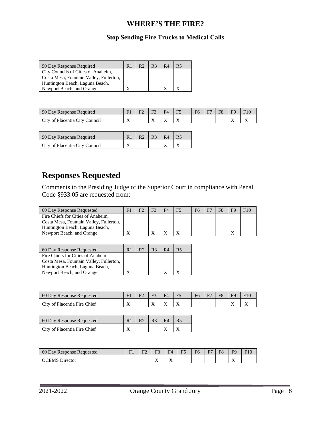#### **Stop Sending Fire Trucks to Medical Calls**

| 90 Day Response Required                | R <sub>1</sub> | R2 | R <sub>3</sub> | R4 | <b>R5</b> |
|-----------------------------------------|----------------|----|----------------|----|-----------|
| City Councils of Cities of Anaheim,     |                |    |                |    |           |
| Costa Mesa, Fountain Valley, Fullerton, |                |    |                |    |           |
| Huntington Beach, Laguna Beach,         |                |    |                |    |           |
| Newport Beach, and Orange               |                |    |                |    |           |

| 90 Day Response Required       | <b>DI</b> | $\mathbf{r}$ | $\mathbf{r}$ | $E$ $\Delta$ | $\mathbf{r}$ | F6 | Е. | $\Gamma C$ | F <sub>C</sub>            |  |
|--------------------------------|-----------|--------------|--------------|--------------|--------------|----|----|------------|---------------------------|--|
| City of Placentia City Council | $\lambda$ |              | $\lambda$    | . .          | $\lambda$    |    |    |            | $\mathbf{v}$<br>$\lambda$ |  |

| 90 Day Response Required       | R2 | $\vert$ R <sub>3</sub> $\vert$ R <sub>4</sub> | R <sub>5</sub> |
|--------------------------------|----|-----------------------------------------------|----------------|
| City of Placentia City Council |    |                                               |                |

## **Responses Requested**

Comments to the Presiding Judge of the Superior Court in compliance with Penal Code §933.05 are requested from:

| 60 Day Response Requested               | F |  | F5 | Е7 | F <sub>8</sub> | F <sub>9</sub> |  |
|-----------------------------------------|---|--|----|----|----------------|----------------|--|
| Fire Chiefs for Cities of Anaheim,      |   |  |    |    |                |                |  |
| Costa Mesa, Fountain Valley, Fullerton, |   |  |    |    |                |                |  |
| Huntington Beach, Laguna Beach,         |   |  |    |    |                |                |  |
| Newport Beach, and Orange               | △ |  |    |    |                |                |  |

| 60 Day Response Requested               | R <sub>1</sub> | R <sub>2</sub> | R <sup>3</sup> | R <sub>4</sub> | R <sub>5</sub> |
|-----------------------------------------|----------------|----------------|----------------|----------------|----------------|
| Fire Chiefs for Cities of Anaheim,      |                |                |                |                |                |
| Costa Mesa, Fountain Valley, Fullerton, |                |                |                |                |                |
| Huntington Beach, Laguna Beach,         |                |                |                |                |                |
| Newport Beach, and Orange               |                |                |                |                |                |

| 60 Day Response<br>Requested | F <sup>1</sup>            | --                | HД  | $\mathbf{r}$<br>н.<br>⊥ ~ | F <sub>6</sub> | E7 | $\Gamma$ | $\Gamma C$                      | 10 |
|------------------------------|---------------------------|-------------------|-----|---------------------------|----------------|----|----------|---------------------------------|----|
| City of Placentia Fire Chief | $\mathbf{v}$<br>$\lambda$ | $ -$<br>$\lambda$ | . . | $\overline{\phantom{a}}$  |                |    |          | - 1<br>$\overline{\phantom{a}}$ |    |

| 60 Day Response Requested    |  | R <sub>3</sub> | R <sub>4</sub> |  |
|------------------------------|--|----------------|----------------|--|
| City of Placentia Fire Chief |  |                |                |  |

| 60P<br>Day Response $\Gamma$<br>Requested | T1<br>. . | $\mathbf{r}$ | F٩                | $\blacksquare$<br>HД     | $\mathbf{L}$ | F6 | E7 | EО | FQ                              |  |
|-------------------------------------------|-----------|--------------|-------------------|--------------------------|--------------|----|----|----|---------------------------------|--|
| Jirector<br>EMS.                          |           |              | $ -$<br>$\lambda$ | $\overline{\phantom{a}}$ |              |    |    |    | - 1<br>$\overline{\phantom{a}}$ |  |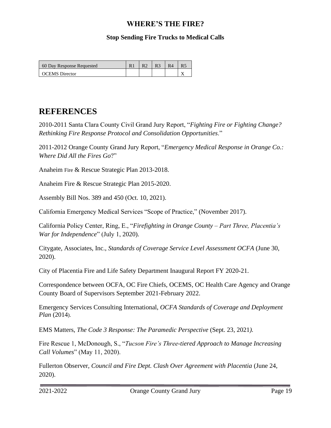#### **Stop Sending Fire Trucks to Medical Calls**

| 60 Day Response Requested |  |  |  |
|---------------------------|--|--|--|
| <b>OCEMS</b> Director     |  |  |  |

## <span id="page-20-0"></span>**REFERENCES**

2010-2011 Santa Clara County Civil Grand Jury Report, "*Fighting Fire or Fighting Change? Rethinking Fire Response Protocol and Consolidation Opportunities*."

2011-2012 Orange County Grand Jury Report, "*Emergency Medical Response in Orange Co.: Where Did All the Fires Go*?"

Anaheim Fire & Rescue Strategic Plan 2013-2018.

Anaheim Fire & Rescue Strategic Plan 2015-2020.

Assembly Bill Nos. 389 and 450 (Oct. 10, 2021).

California Emergency Medical Services "Scope of Practice," (November 2017).

California Policy Center, Ring, E., "*Firefighting in Orange County – Part Three, Placentia's War for Independence*" (July 1, 2020).

Citygate, Associates, Inc., *Standards of Coverage Service Level Assessment OCFA* (June 30, 2020).

City of Placentia Fire and Life Safety Department Inaugural Report FY 2020-21.

Correspondence between OCFA, OC Fire Chiefs, OCEMS, OC Health Care Agency and Orange County Board of Supervisors September 2021-February 2022.

Emergency Services Consulting International, *OCFA Standards of Coverage and Deployment Plan* (2014).

EMS Matters, *The Code 3 Response: The Paramedic Perspective* (Sept. 23, 2021*).*

Fire Rescue 1, McDonough, S., "*Tucson Fire's Three-tiered Approach to Manage Increasing Call Volumes*" (May 11, 2020).

Fullerton Observer, *Council and Fire Dept. Clash Over Agreement with Placentia* (June 24, 2020).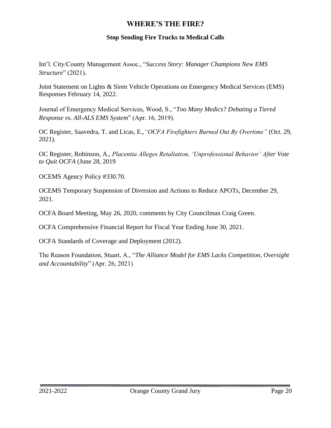#### **Stop Sending Fire Trucks to Medical Calls**

Int'l. City/County Management Assoc., "*Success Story: Manager Champions New EMS Structure*" (2021).

Joint Statement on Lights & Siren Vehicle Operations on Emergency Medical Services (EMS) Responses February 14, 2022.

Journal of Emergency Medical Services, Wood, S., "*Too Many Medics? Debating a Tiered Response vs. All-ALS EMS System*" (Apr. 16, 2019).

OC Register, Saavedra, T. and Licas, E.,*"OCFA Firefighters Burned Out By Overtime"* (Oct. 29, 2021).

OC Register, Robinson, A., *Placentia Alleges Retaliation, 'Unprofessional Behavior' After Vote to Quit OCFA* (June 28, 2019

OCEMS Agency Policy #330.70.

OCEMS Temporary Suspension of Diversion and Actions to Reduce APOTs, December 29, 2021.

OCFA Board Meeting, May 26, 2020, comments by City Councilman Craig Green.

OCFA Comprehensive Financial Report for Fiscal Year Ending June 30, 2021.

OCFA Standards of Coverage and Deployment (2012).

<span id="page-21-0"></span>The Reason Foundation, Stuart, A., "*The Alliance Model for EMS Lacks Competition, Oversight and Accountability*" (Apr. 26, 2021)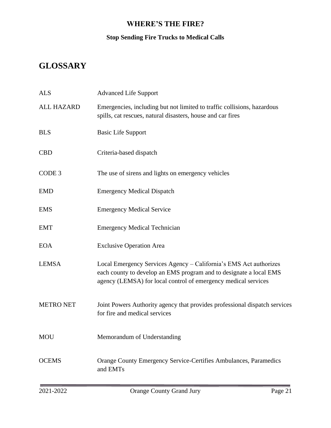## **Stop Sending Fire Trucks to Medical Calls**

## **GLOSSARY**

| <b>ALS</b>        | <b>Advanced Life Support</b>                                                                                                                                                                              |
|-------------------|-----------------------------------------------------------------------------------------------------------------------------------------------------------------------------------------------------------|
| <b>ALL HAZARD</b> | Emergencies, including but not limited to traffic collisions, hazardous<br>spills, cat rescues, natural disasters, house and car fires                                                                    |
| <b>BLS</b>        | <b>Basic Life Support</b>                                                                                                                                                                                 |
| <b>CBD</b>        | Criteria-based dispatch                                                                                                                                                                                   |
| CODE <sub>3</sub> | The use of sirens and lights on emergency vehicles                                                                                                                                                        |
| <b>EMD</b>        | <b>Emergency Medical Dispatch</b>                                                                                                                                                                         |
| <b>EMS</b>        | <b>Emergency Medical Service</b>                                                                                                                                                                          |
| <b>EMT</b>        | <b>Emergency Medical Technician</b>                                                                                                                                                                       |
| <b>EOA</b>        | <b>Exclusive Operation Area</b>                                                                                                                                                                           |
| <b>LEMSA</b>      | Local Emergency Services Agency - California's EMS Act authorizes<br>each county to develop an EMS program and to designate a local EMS<br>agency (LEMSA) for local control of emergency medical services |
| <b>METRO NET</b>  | Joint Powers Authority agency that provides professional dispatch services<br>for fire and medical services                                                                                               |
| <b>MOU</b>        | Memorandum of Understanding                                                                                                                                                                               |
| <b>OCEMS</b>      | Orange County Emergency Service-Certifies Ambulances, Paramedics<br>and EMTs                                                                                                                              |